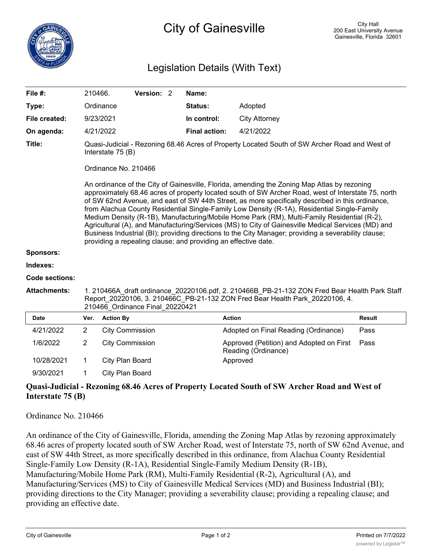## Legislation Details (With Text)

| File #:               | 210466.                                                                                                                                                                                                                                                                                                                                                                                                                                                                                                                                                                                                                                                                                                                                                                                                      |                        | Version: 2 |  | Name:                |                                                                 |               |
|-----------------------|--------------------------------------------------------------------------------------------------------------------------------------------------------------------------------------------------------------------------------------------------------------------------------------------------------------------------------------------------------------------------------------------------------------------------------------------------------------------------------------------------------------------------------------------------------------------------------------------------------------------------------------------------------------------------------------------------------------------------------------------------------------------------------------------------------------|------------------------|------------|--|----------------------|-----------------------------------------------------------------|---------------|
| Type:                 |                                                                                                                                                                                                                                                                                                                                                                                                                                                                                                                                                                                                                                                                                                                                                                                                              | Ordinance              |            |  | <b>Status:</b>       | Adopted                                                         |               |
| File created:         |                                                                                                                                                                                                                                                                                                                                                                                                                                                                                                                                                                                                                                                                                                                                                                                                              | 9/23/2021              |            |  | In control:          | <b>City Attorney</b>                                            |               |
| On agenda:            |                                                                                                                                                                                                                                                                                                                                                                                                                                                                                                                                                                                                                                                                                                                                                                                                              | 4/21/2022              |            |  | <b>Final action:</b> | 4/21/2022                                                       |               |
| Title:                | Quasi-Judicial - Rezoning 68.46 Acres of Property Located South of SW Archer Road and West of<br>Interstate 75 (B)                                                                                                                                                                                                                                                                                                                                                                                                                                                                                                                                                                                                                                                                                           |                        |            |  |                      |                                                                 |               |
|                       | Ordinance No. 210466<br>An ordinance of the City of Gainesville, Florida, amending the Zoning Map Atlas by rezoning<br>approximately 68.46 acres of property located south of SW Archer Road, west of Interstate 75, north<br>of SW 62nd Avenue, and east of SW 44th Street, as more specifically described in this ordinance,<br>from Alachua County Residential Single-Family Low Density (R-1A), Residential Single-Family<br>Medium Density (R-1B), Manufacturing/Mobile Home Park (RM), Multi-Family Residential (R-2),<br>Agricultural (A), and Manufacturing/Services (MS) to City of Gainesville Medical Services (MD) and<br>Business Industrial (BI); providing directions to the City Manager; providing a severability clause;<br>providing a repealing clause; and providing an effective date. |                        |            |  |                      |                                                                 |               |
| <b>Sponsors:</b>      |                                                                                                                                                                                                                                                                                                                                                                                                                                                                                                                                                                                                                                                                                                                                                                                                              |                        |            |  |                      |                                                                 |               |
| Indexes:              |                                                                                                                                                                                                                                                                                                                                                                                                                                                                                                                                                                                                                                                                                                                                                                                                              |                        |            |  |                      |                                                                 |               |
| <b>Code sections:</b> |                                                                                                                                                                                                                                                                                                                                                                                                                                                                                                                                                                                                                                                                                                                                                                                                              |                        |            |  |                      |                                                                 |               |
| <b>Attachments:</b>   | 1. 210466A draft ordinance 20220106.pdf, 2. 210466B PB-21-132 ZON Fred Bear Health Park Staff<br>Report 20220106, 3. 210466C PB-21-132 ZON Fred Bear Health Park 20220106, 4.<br>210466 Ordinance Final 20220421                                                                                                                                                                                                                                                                                                                                                                                                                                                                                                                                                                                             |                        |            |  |                      |                                                                 |               |
| <b>Date</b>           | Ver.                                                                                                                                                                                                                                                                                                                                                                                                                                                                                                                                                                                                                                                                                                                                                                                                         | <b>Action By</b>       |            |  |                      | <b>Action</b>                                                   | <b>Result</b> |
| 4/21/2022             | $\overline{2}$                                                                                                                                                                                                                                                                                                                                                                                                                                                                                                                                                                                                                                                                                                                                                                                               | <b>City Commission</b> |            |  |                      | Adopted on Final Reading (Ordinance)                            | Pass          |
| 1/6/2022              | $\overline{2}$                                                                                                                                                                                                                                                                                                                                                                                                                                                                                                                                                                                                                                                                                                                                                                                               | <b>City Commission</b> |            |  |                      | Approved (Petition) and Adopted on First<br>Reading (Ordinance) | Pass          |
| 10/28/2021            | 1                                                                                                                                                                                                                                                                                                                                                                                                                                                                                                                                                                                                                                                                                                                                                                                                            | City Plan Board        |            |  |                      | Approved                                                        |               |
| 9/30/2021             | 1                                                                                                                                                                                                                                                                                                                                                                                                                                                                                                                                                                                                                                                                                                                                                                                                            | City Plan Board        |            |  |                      |                                                                 |               |

## **Quasi-Judicial - Rezoning 68.46 Acres of Property Located South of SW Archer Road and West of Interstate 75 (B)**

Ordinance No. 210466

An ordinance of the City of Gainesville, Florida, amending the Zoning Map Atlas by rezoning approximately 68.46 acres of property located south of SW Archer Road, west of Interstate 75, north of SW 62nd Avenue, and east of SW 44th Street, as more specifically described in this ordinance, from Alachua County Residential Single-Family Low Density (R-1A), Residential Single-Family Medium Density (R-1B), Manufacturing/Mobile Home Park (RM), Multi-Family Residential (R-2), Agricultural (A), and Manufacturing/Services (MS) to City of Gainesville Medical Services (MD) and Business Industrial (BI); providing directions to the City Manager; providing a severability clause; providing a repealing clause; and providing an effective date.